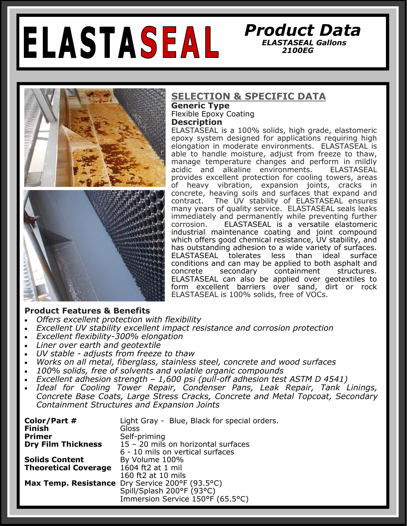# ELASTASEAL

#### **SELECTION & SPECIFIC DATA**

**Generic Type**  Flexible Epoxy Coating **Description**

ELASTASEAL is a 100% solids, high grade, elastomeric epoxy system designed for applications requiring high elongation in moderate environments. ELASTASEAL is able to handle moisture, adjust from freeze to thaw, manage temperature changes and perform in mildly acidic and alkaline environments. ELASTASEAL provides excellent protection for cooling towers, areas of heavy vibration, expansion joints, cracks in concrete, heaving soils and surfaces that expand and contract. The UV stability of ELASTASEAL ensures many years of quality service. ELASTASEAL seals leaks immediately and permanently while preventing further corrosion. ELASTASEAL is a versatile elastomeric industrial maintenance coating and joint compound which offers good chemical resistance, UV stability, and has outstanding adhesion to a wide variety of surfaces.<br>ELASTASEAL tolerates less than ideal surface ELASTASEAL tolerates less than ideal surface conditions and can may be applied to both asphalt and concrete secondary containment structures. ELASTASEAL can also be applied over geotextiles to form excellent barriers over sand, dirt or rock ELASTASEAL is 100% solids, free of VOCs.

#### **Product Features & Benefits**

- *Offers excellent protection with flexibility*
- *Excellent UV stability excellent impact resistance and corrosion protection*
- *Excellent flexibility-300% elongation*
- *Liner over earth and geotextile*
- *UV stable - adjusts from freeze to thaw*
- *Works on all metal, fiberglass, stainless steel, concrete and wood surfaces*
- *100% solids, free of solvents and volatile organic compounds*
- *Excellent adhesion strength – 1,600 psi (pull-off adhesion test ASTM D 4541)*
- *Ideal for Cooling Tower Repair, Condenser Pans, Leak Repair, Tank Linings, Concrete Base Coats, Large Stress Cracks, Concrete and Metal Topcoat, Secondary Containment Structures and Expansion Joints*

| Color/Part #                | Light Gray - Blue, Black for special orders.    |
|-----------------------------|-------------------------------------------------|
| <b>Finish</b>               | Gloss                                           |
| <b>Primer</b>               | Self-priming                                    |
| <b>Dry Film Thickness</b>   | 15 - 20 mils on horizontal surfaces             |
|                             | 6 - 10 mils on vertical surfaces                |
| <b>Solids Content</b>       | By Volume 100%                                  |
| <b>Theoretical Coverage</b> | 1604 ft2 at 1 mil                               |
|                             | 160 ft2 at 10 mils                              |
|                             | Max Temp. Resistance Dry Service 200°F (93.5°C) |
|                             | Spill/Splash 200°F (93°C)                       |
|                             | Immersion Service 150°F (65.5°C)                |



## *Product Data ELASTASEAL Gallons 2100EG*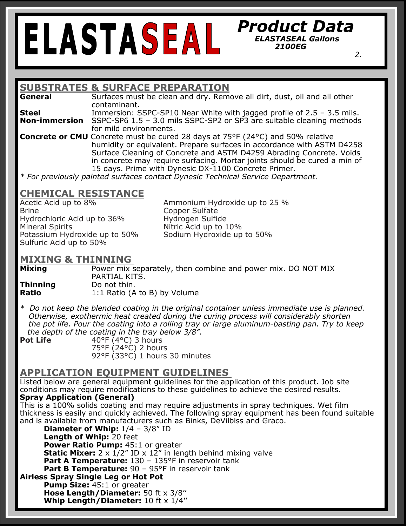## *Product Data ELASTASEAL Gallons 2100EG*

 *2.*

#### **SUBSTRATES & SURFACE PREPARATION**

**General** Surfaces must be clean and dry. Remove all dirt, dust, oil and all other contaminant.

**Steel Immersion: SSPC-SP10 Near White with jagged profile of 2.5 – 3.5 mils. Non-immersion** SSPC-SP6 1.5 – 3.0 mils SSPC-SP2 or SP3 are suitable cleaning methods for mild environments.

**Concrete or CMU** Concrete must be cured 28 days at 75°F (24°C) and 50% relative humidity or equivalent. Prepare surfaces in accordance with ASTM D4258 Surface Cleaning of Concrete and ASTM D4259 Abrading Concrete. Voids in concrete may require surfacing. Mortar joints should be cured a min of 15 days. Prime with Dynesic DX-1100 Concrete Primer.

*\* For previously painted surfaces contact Dynesic Technical Service Department.* 

# **CHEMICAL RESISTANCE**

Brine **Copper Sulfate** Hydrochloric Acid up to 36% Hydrogen Sulfide Mineral Spirits **Nitric Acid up to 10%** Potassium Hydroxide up to 50% Sodium Hydroxide up to 50% Sulfuric Acid up to 50%

Ammonium Hydroxide up to 25 %

## **MIXING & THINNING**

**Mixing** Power mix separately, then combine and power mix. DO NOT MIX PARTIAL KITS. **Thinning** Do not thin. **Ratio** 1:1 Ratio (A to B) by Volume

*\* Do not keep the blended coating in the original container unless immediate use is planned. Otherwise, exothermic heat created during the curing process will considerably shorten the pot life. Pour the coating into a rolling tray or large aluminum-basting pan. Try to keep the depth of the coating in the tray below 3/8".* 

**Pot Life** 40°F (4°C) 3 hours 75°F (24°C) 2 hours 92°F (33°C) 1 hours 30 minutes

#### **APPLICATION EQUIPMENT GUIDELINES**

Listed below are general equipment guidelines for the application of this product. Job site conditions may require modifications to these guidelines to achieve the desired results. **Spray Application (General)** 

This is a 100% solids coating and may require adjustments in spray techniques. Wet film thickness is easily and quickly achieved. The following spray equipment has been found suitable and is available from manufacturers such as Binks, DeVilbiss and Graco.

**Diameter of Whip:**  $1/4 - 3/8"$  ID **Length of Whip:** 20 feet **Power Ratio Pump:** 45:1 or greater **Static Mixer:** 2 x 1/2" ID x 12" in length behind mixing valve **Part A Temperature:** 130 - 135°F in reservoir tank **Part B Temperature:** 90 - 95°F in reservoir tank **Airless Spray Single Leg or Hot Pot** 

**Pump Size: 45:1 or greater Hose Length/Diameter:** 50 ft x 3/8'' **Whip Length/Diameter:** 10 ft x 1/4''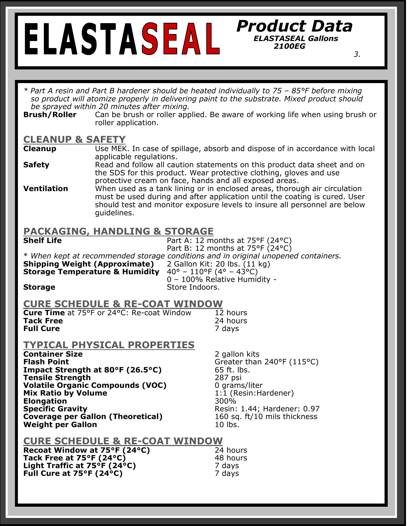#### *Product Data ELASTASEAL Gallons 2100EG*

*3. 3.* 

*\* Part A resin and Part B hardener should be heated individually to 75 – 85°F before mixing so product will atomize properly in delivering paint to the substrate. Mixed product should be sprayed within 20 minutes after mixing.* 

**Brush/Roller** Can be brush or roller applied. Be aware of working life when using brush or roller application.

# **CLEANUP & SAFETY**

- **Cleanup** Use MEK. In case of spillage, absorb and dispose of in accordance with local applicable regulations.
- **Safety** Read and follow all caution statements on this product data sheet and on the SDS for this product. Wear protective clothing, gloves and use protective cream on face, hands and all exposed areas.
- **Ventilation** When used as a tank lining or in enclosed areas, thorough air circulation must be used during and after application until the coating is cured. User should test and monitor exposure levels to insure all personnel are below guidelines.

#### **PACKAGING, HANDLING & STORAGE**

| <b>Shelf Life</b><br><b>Shipping Weight (Approximate)</b><br><b>Storage Temperature &amp; Humidity</b><br><b>Storage</b>                                                                                                                                                                                                                          | Part A: 12 months at $75^{\circ}F(24^{\circ}C)$<br>Part B: 12 months at 75°F (24°C)<br>* When kept at recommended storage conditions and in original unopened containers.<br>2 Gallon Kit: 20 lbs. (11 kg)<br>$40^{\circ}$ – 110°F (4° – 43°C)<br>0 - 100% Relative Humidity -<br>Store Indoors. |  |
|---------------------------------------------------------------------------------------------------------------------------------------------------------------------------------------------------------------------------------------------------------------------------------------------------------------------------------------------------|--------------------------------------------------------------------------------------------------------------------------------------------------------------------------------------------------------------------------------------------------------------------------------------------------|--|
| <b>CURE SCHEDULE &amp; RE-COAT WINDOW</b><br><b>Cure Time</b> at 75°F or 24°C: Re-coat Window<br><b>Tack Free</b><br><b>Full Cure</b>                                                                                                                                                                                                             | 12 hours<br>24 hours<br>7 days                                                                                                                                                                                                                                                                   |  |
| <b>TYPICAL PHYSICAL PROPERTIES</b><br><b>Container Size</b><br><b>Flash Point</b><br>Impact Strength at 80°F (26.5°C)<br><b>Tensile Strength</b><br><b>Volatile Organic Compounds (VOC)</b><br><b>Mix Ratio by Volume</b><br><b>Elongation</b><br><b>Specific Gravity</b><br><b>Coverage per Gallon (Theoretical)</b><br><b>Weight per Gallon</b> | 2 gallon kits<br>Greater than 240°F (115°C)<br>65 ft. lbs.<br>287 psi<br>0 grams/liter<br>1:1 (Resin: Hardener)<br>300%<br>Resin: 1.44; Hardener: 0.97<br>160 sq. ft/10 mils thickness<br>$10$ lbs.                                                                                              |  |
| <b>CURE SCHEDULE &amp; RE-COAT WINDOW</b><br>Recoat Window at 75°F (24°C)<br>24 hours                                                                                                                                                                                                                                                             |                                                                                                                                                                                                                                                                                                  |  |

**Tack Free at 75°F (24°C)** 48 hours **Light Traffic at 75°F (24°C)** 7 days **Full Cure at 75°F (24°C)** 7 days

i